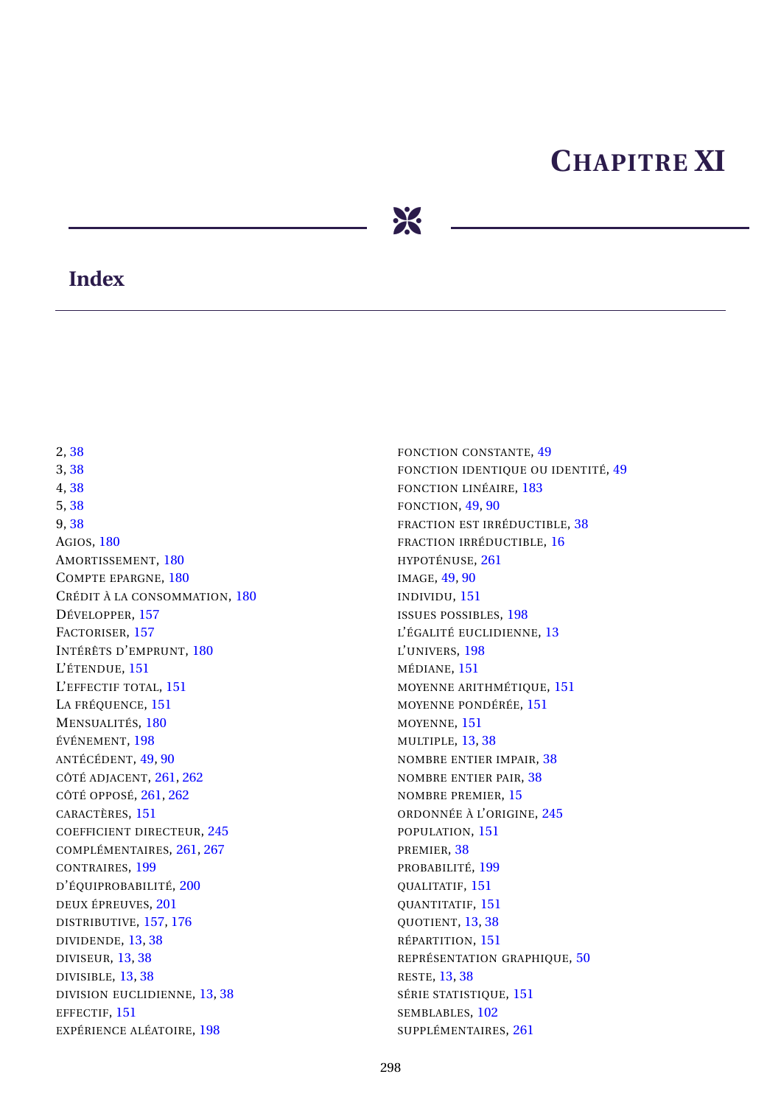## **CHAPITRE XI**



## **Index**

2,38 3,38 4.38 5,38 9,38 **AGIOS, 180** AMORTISSEMENT, 180 COMPTE EPARGNE, 180 CRÉDIT À LA CONSOMMATION, 180 DÉVELOPPER, 157 FACTORISER, 157 INTÉRÊTS D'EMPRUNT, 180 L'ÉTENDUE, 151 L'EFFECTIF TOTAL, 151 LA FRÉQUENCE, 151 MENSUALITÉS, 180 ÉVÉNEMENT, 198 ANTÉCÉDENT, 49, 90 CÔTÉ ADIACENT, 261, 262 CÔTÉ OPPOSÉ, 261, 262 CARACTÈRES, 151 **COEFFICIENT DIRECTEUR, 245** COMPLÉMENTAIRES, 261, 267 CONTRAIRES, 199 D'ÉQUIPROBABILITÉ, 200 DEUX ÉPREUVES, 201 DISTRIBUTIVE, 157, 176 DIVIDENDE, 13, 38 **DIVISEUR, 13, 38** DIVISIBLE, 13, 38 DIVISION EUCLIDIENNE, 13, 38 EFFECTIF, 151 EXPÉRIENCE ALÉATOIRE, 198

FONCTION CONSTANTE, 49 FONCTION IDENTIQUE OU IDENTITÉ, 49 FONCTION LINÉAIRE, 183 FONCTION, 49, 90 FRACTION EST IRRÉDUCTIBLE, 38 FRACTION IRRÉDUCTIBLE, 16 HYPOTÉNUSE, 261 IMAGE, 49, 90 INDIVIDU, 151 **ISSUES POSSIBLES, 198** L'ÉGALITÉ EUCLIDIENNE, 13 L'UNIVERS, 198 MÉDIANE, 151 MOYENNE ARITHMÉTIQUE, 151 MOYENNE PONDÉRÉE, 151 MOYENNE, 151 MULTIPLE, 13, 38 NOMBRE ENTIER IMPAIR, 38 NOMBRE ENTIER PAIR, 38 NOMBRE PREMIER, 15 ORDONNÉE À L'ORIGINE, 245 POPULATION, 151 PREMIER, 38 PROBABILITÉ, 199 QUALITATIF, 151 QUANTITATIF, 151 QUOTIENT, 13, 38 RÉPARTITION, 151 REPRÉSENTATION GRAPHIQUE, 50 **RESTE, 13, 38** SÉRIE STATISTIQUE, 151 SEMBLABLES, 102 SUPPLÉMENTAIRES, 261